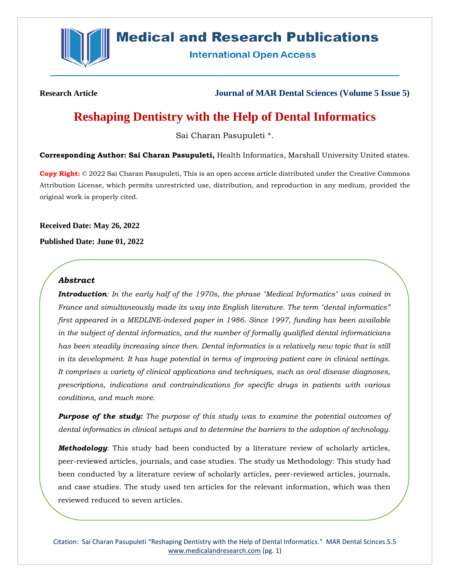

# **Medical and Research Publications**

**International Open Access** 

**Research Article Journal of MAR Dental Sciences (Volume 5 Issue 5)**

## **Reshaping Dentistry with the Help of Dental Informatics**

Sai Charan Pasupuleti \*.

**Corresponding Author: Sai Charan Pasupuleti,** Health Informatics, Marshall University United states.

**Copy Right:** © 2022 Sai Charan Pasupuleti, This is an open access article distributed under the Creative Commons Attribution License, which permits unrestricted use, distribution, and reproduction in any medium, provided the original work is properly cited.

**Received Date: May 26, 2022**

**Published Date: June 01, 2022**

## *Abstract*

*Introduction: In the early half of the 1970s, the phrase "Medical Informatics" was coined in France and simultaneously made its way into English literature. The term "dental informatics" first appeared in a MEDLINE-indexed paper in 1986. Since 1997, funding has been available in the subject of dental informatics, and the number of formally qualified dental informaticians has been steadily increasing since then. Dental informatics is a relatively new topic that is still in its development. It has huge potential in terms of improving patient care in clinical settings. It comprises a variety of clinical applications and techniques, such as oral disease diagnoses, prescriptions, indications and contraindications for specific drugs in patients with various conditions, and much more.* 

*Purpose of the study: The purpose of this study was to examine the potential outcomes of dental informatics in clinical setups and to determine the barriers to the adoption of technology.*

*Methodology*: This study had been conducted by a literature review of scholarly articles, peer-reviewed articles, journals, and case studies. The study us Methodology: This study had been conducted by a literature review of scholarly articles, peer-reviewed articles, journals, and case studies. The study used ten articles for the relevant information, which was then reviewed reduced to seven articles.

Citation: Sai Charan Pasupuleti "Reshaping Dentistry with the Help of Dental Informatics." MAR Dental Scinces.5.5 [www.medicalandresearch.com](http://www.medicalandresearch.com/) (pg. 1)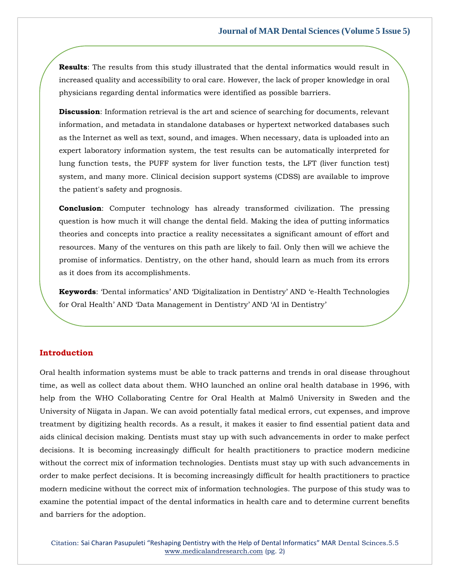**Results**: The results from this study illustrated that the dental informatics would result in increased quality and accessibility to oral care. However, the lack of proper knowledge in oral physicians regarding dental informatics were identified as possible barriers.

**Discussion**: Information retrieval is the art and science of searching for documents, relevant information, and metadata in standalone databases or hypertext networked databases such as the Internet as well as text, sound, and images. When necessary, data is uploaded into an expert laboratory information system, the test results can be automatically interpreted for lung function tests, the PUFF system for liver function tests, the LFT (liver function test) system, and many more. Clinical decision support systems (CDSS) are available to improve the patient's safety and prognosis.

**Conclusion**: Computer technology has already transformed civilization. The pressing question is how much it will change the dental field. Making the idea of putting informatics theories and concepts into practice a reality necessitates a significant amount of effort and resources. Many of the ventures on this path are likely to fail. Only then will we achieve the promise of informatics. Dentistry, on the other hand, should learn as much from its errors as it does from its accomplishments.

**Keywords**: 'Dental informatics' AND 'Digitalization in Dentistry' AND 'e-Health Technologies for Oral Health' AND 'Data Management in Dentistry' AND 'AI in Dentistry'

## **Introduction**

Oral health information systems must be able to track patterns and trends in oral disease throughout time, as well as collect data about them. WHO launched an online oral health database in 1996, with help from the WHO Collaborating Centre for Oral Health at Malmö University in Sweden and the University of Niigata in Japan. We can avoid potentially fatal medical errors, cut expenses, and improve treatment by digitizing health records. As a result, it makes it easier to find essential patient data and aids clinical decision making. Dentists must stay up with such advancements in order to make perfect decisions. It is becoming increasingly difficult for health practitioners to practice modern medicine without the correct mix of information technologies. Dentists must stay up with such advancements in order to make perfect decisions. It is becoming increasingly difficult for health practitioners to practice modern medicine without the correct mix of information technologies. The purpose of this study was to examine the potential impact of the dental informatics in health care and to determine current benefits and barriers for the adoption.

Citation: Sai Charan Pasupuleti "Reshaping Dentistry with the Help of Dental Informatics" MAR Dental Scinces.5.5 [www.medicalandresearch.com](http://www.medicalandresearch.com/) (pg. 2)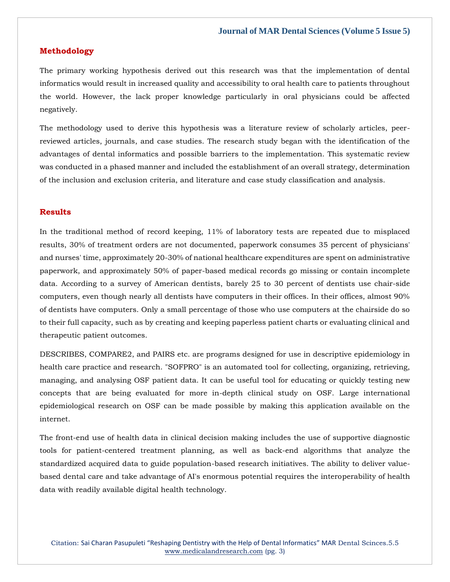### **Methodology**

The primary working hypothesis derived out this research was that the implementation of dental informatics would result in increased quality and accessibility to oral health care to patients throughout the world. However, the lack proper knowledge particularly in oral physicians could be affected negatively.

The methodology used to derive this hypothesis was a literature review of scholarly articles, peerreviewed articles, journals, and case studies. The research study began with the identification of the advantages of dental informatics and possible barriers to the implementation. This systematic review was conducted in a phased manner and included the establishment of an overall strategy, determination of the inclusion and exclusion criteria, and literature and case study classification and analysis.

## **Results**

In the traditional method of record keeping, 11% of laboratory tests are repeated due to misplaced results, 30% of treatment orders are not documented, paperwork consumes 35 percent of physicians' and nurses' time, approximately 20-30% of national healthcare expenditures are spent on administrative paperwork, and approximately 50% of paper-based medical records go missing or contain incomplete data. According to a survey of American dentists, barely 25 to 30 percent of dentists use chair-side computers, even though nearly all dentists have computers in their offices. In their offices, almost 90% of dentists have computers. Only a small percentage of those who use computers at the chairside do so to their full capacity, such as by creating and keeping paperless patient charts or evaluating clinical and therapeutic patient outcomes.

DESCRIBES, COMPARE2, and PAIRS etc. are programs designed for use in descriptive epidemiology in health care practice and research. "SOFPRO" is an automated tool for collecting, organizing, retrieving, managing, and analysing OSF patient data. It can be useful tool for educating or quickly testing new concepts that are being evaluated for more in-depth clinical study on OSF. Large international epidemiological research on OSF can be made possible by making this application available on the internet.

The front-end use of health data in clinical decision making includes the use of supportive diagnostic tools for patient-centered treatment planning, as well as back-end algorithms that analyze the standardized acquired data to guide population-based research initiatives. The ability to deliver valuebased dental care and take advantage of AI's enormous potential requires the interoperability of health data with readily available digital health technology.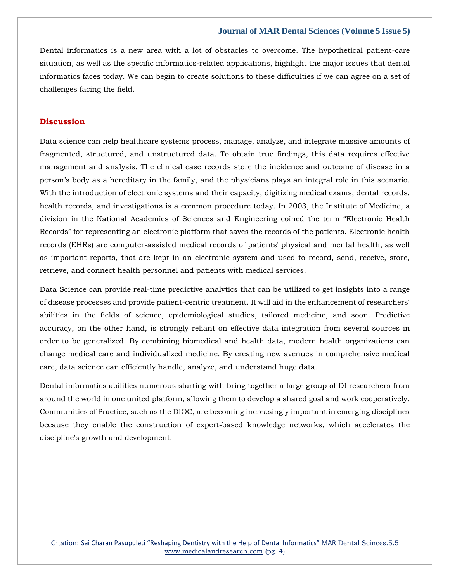#### **Journal of MAR Dental Sciences (Volume 5 Issue 5)**

Dental informatics is a new area with a lot of obstacles to overcome. The hypothetical patient-care situation, as well as the specific informatics-related applications, highlight the major issues that dental informatics faces today. We can begin to create solutions to these difficulties if we can agree on a set of challenges facing the field.

## **Discussion**

Data science can help healthcare systems process, manage, analyze, and integrate massive amounts of fragmented, structured, and unstructured data. To obtain true findings, this data requires effective management and analysis. The clinical case records store the incidence and outcome of disease in a person's body as a hereditary in the family, and the physicians plays an integral role in this scenario. With the introduction of electronic systems and their capacity, digitizing medical exams, dental records, health records, and investigations is a common procedure today. In 2003, the Institute of Medicine, a division in the National Academies of Sciences and Engineering coined the term "Electronic Health Records" for representing an electronic platform that saves the records of the patients. Electronic health records (EHRs) are computer-assisted medical records of patients' physical and mental health, as well as important reports, that are kept in an electronic system and used to record, send, receive, store, retrieve, and connect health personnel and patients with medical services.

Data Science can provide real-time predictive analytics that can be utilized to get insights into a range of disease processes and provide patient-centric treatment. It will aid in the enhancement of researchers' abilities in the fields of science, epidemiological studies, tailored medicine, and soon. Predictive accuracy, on the other hand, is strongly reliant on effective data integration from several sources in order to be generalized. By combining biomedical and health data, modern health organizations can change medical care and individualized medicine. By creating new avenues in comprehensive medical care, data science can efficiently handle, analyze, and understand huge data.

Dental informatics abilities numerous starting with bring together a large group of DI researchers from around the world in one united platform, allowing them to develop a shared goal and work cooperatively. Communities of Practice, such as the DIOC, are becoming increasingly important in emerging disciplines because they enable the construction of expert-based knowledge networks, which accelerates the discipline's growth and development.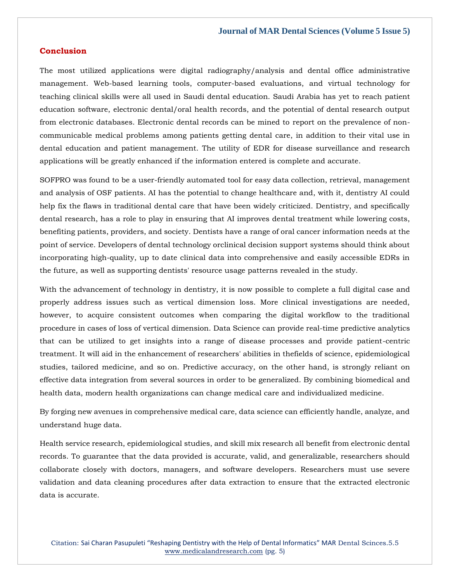#### **Conclusion**

The most utilized applications were digital radiography/analysis and dental office administrative management. Web-based learning tools, computer-based evaluations, and virtual technology for teaching clinical skills were all used in Saudi dental education. Saudi Arabia has yet to reach patient education software, electronic dental/oral health records, and the potential of dental research output from electronic databases. Electronic dental records can be mined to report on the prevalence of noncommunicable medical problems among patients getting dental care, in addition to their vital use in dental education and patient management. The utility of EDR for disease surveillance and research applications will be greatly enhanced if the information entered is complete and accurate.

SOFPRO was found to be a user-friendly automated tool for easy data collection, retrieval, management and analysis of OSF patients. AI has the potential to change healthcare and, with it, dentistry AI could help fix the flaws in traditional dental care that have been widely criticized. Dentistry, and specifically dental research, has a role to play in ensuring that AI improves dental treatment while lowering costs, benefiting patients, providers, and society. Dentists have a range of oral cancer information needs at the point of service. Developers of dental technology orclinical decision support systems should think about incorporating high-quality, up to date clinical data into comprehensive and easily accessible EDRs in the future, as well as supporting dentists' resource usage patterns revealed in the study.

With the advancement of technology in dentistry, it is now possible to complete a full digital case and properly address issues such as vertical dimension loss. More clinical investigations are needed, however, to acquire consistent outcomes when comparing the digital workflow to the traditional procedure in cases of loss of vertical dimension. Data Science can provide real-time predictive analytics that can be utilized to get insights into a range of disease processes and provide patient-centric treatment. It will aid in the enhancement of researchers' abilities in thefields of science, epidemiological studies, tailored medicine, and so on. Predictive accuracy, on the other hand, is strongly reliant on effective data integration from several sources in order to be generalized. By combining biomedical and health data, modern health organizations can change medical care and individualized medicine.

By forging new avenues in comprehensive medical care, data science can efficiently handle, analyze, and understand huge data.

Health service research, epidemiological studies, and skill mix research all benefit from electronic dental records. To guarantee that the data provided is accurate, valid, and generalizable, researchers should collaborate closely with doctors, managers, and software developers. Researchers must use severe validation and data cleaning procedures after data extraction to ensure that the extracted electronic data is accurate.